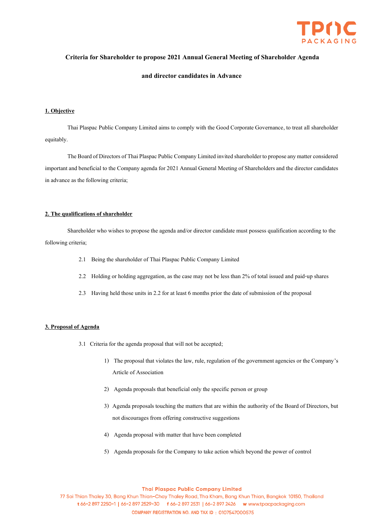

## **Criteria for Shareholder to propose 2021 Annual General Meeting of Shareholder Agenda**

### **and director candidates in Advance**

### **1. Objective**

Thai Plaspac Public Company Limited aims to comply with the Good Corporate Governance, to treat all shareholder equitably.

The Board of Directors of Thai Plaspac Public Company Limited invited shareholder to propose any matter considered important and beneficial to the Company agenda for 2021 Annual General Meeting of Shareholders and the director candidates in advance as the following criteria;

### **2. The qualifications of shareholder**

Shareholder who wishes to propose the agenda and/or director candidate must possess qualification according to the following criteria;

- 2.1 Being the shareholder of Thai Plaspac Public Company Limited
- 2.2 Holding or holding aggregation, as the case may not be less than 2% of total issued and paid-up shares
- 2.3 Having held those units in 2.2 for at least 6 months prior the date of submission of the proposal

# **3. Proposal of Agenda**

- 3.1 Criteria for the agenda proposal that will not be accepted;
	- 1) The proposal that violates the law, rule, regulation of the government agencies or the Company's Article of Association
	- 2) Agenda proposals that beneficial only the specific person or group
	- 3) Agenda proposals touching the matters that are within the authority of the Board of Directors, but not discourages from offering constructive suggestions
	- 4) Agenda proposal with matter that have been completed
	- 5) Agenda proposals for the Company to take action which beyond the power of control

#### **Thai Plaspac Public Company Limited**

77 Soi Thian Thaley 30, Bang Khun Thian-Chay Thaley Road, Tha Kham, Bang Khun Thian, Bangkok 10150, Thailand t 66-2 897 2250-1 | 66-2 897 2529-30 f 66-2 897 2531 | 66-2 897 2426 w www.tpacpackaging.com COMPANY REGISTRATION NO. AND TAX ID: 0107547000575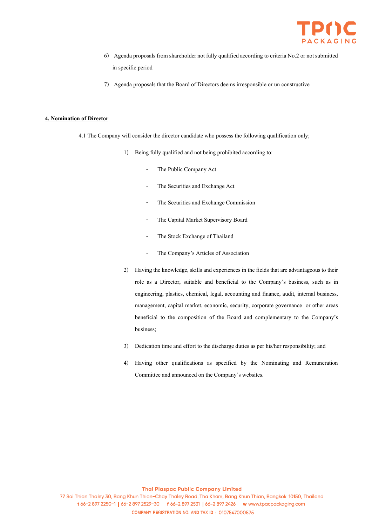

- 6) Agenda proposals from shareholder not fully qualified according to criteria No.2 or not submitted in specific period
- 7) Agenda proposals that the Board of Directors deems irresponsible or un constructive

### **4. Nomination of Director**

- 4.1 The Company will consider the director candidate who possess the following qualification only;
	- 1) Being fully qualified and not being prohibited according to:
		- The Public Company Act
		- The Securities and Exchange Act
		- The Securities and Exchange Commission
		- The Capital Market Supervisory Board
		- The Stock Exchange of Thailand
		- The Company's Articles of Association
	- 2) Having the knowledge, skills and experiences in the fields that are advantageous to their role as a Director, suitable and beneficial to the Company's business, such as in engineering, plastics, chemical, legal, accounting and finance, audit, internal business, management, capital market, economic, security, corporate governance or other areas beneficial to the composition of the Board and complementary to the Company's business;
	- 3) Dedication time and effort to the discharge duties as per his/her responsibility; and
	- 4) Having other qualifications as specified by the Nominating and Remuneration Committee and announced on the Company's websites.

### **Thai Plaspac Public Company Limited**

77 Soi Thian Thaley 30, Bang Khun Thian-Chay Thaley Road, Tha Kham, Bang Khun Thian, Bangkok 10150, Thailand t 66-2 897 2250-1 | 66-2 897 2529-30 f 66-2 897 2531 | 66-2 897 2426 w www.tpacpackaging.com COMPANY REGISTRATION NO. AND TAX ID: 0107547000575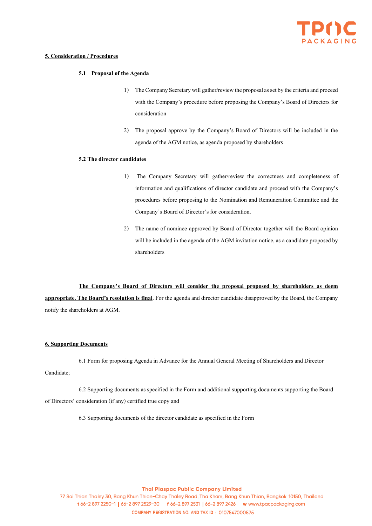

# **5. Consideration / Procedures**

## **5.1 Proposal of the Agenda**

- 1) The Company Secretary will gather/review the proposal as set by the criteria and proceed with the Company's procedure before proposing the Company's Board of Directors for consideration
- 2) The proposal approve by the Company's Board of Directors will be included in the agenda of the AGM notice, as agenda proposed by shareholders

### **5.2 The director candidates**

- 1) The Company Secretary will gather/review the correctness and completeness of information and qualifications of director candidate and proceed with the Company's procedures before proposing to the Nomination and Remuneration Committee and the Company's Board of Director's for consideration.
- 2) The name of nominee approved by Board of Director together will the Board opinion will be included in the agenda of the AGM invitation notice, as a candidate proposed by shareholders

# **The Company's Board of Directors will consider the proposal proposed by shareholders as deem**

**appropriate. The Board's resolution is final**. For the agenda and director candidate disapproved by the Board, the Company notify the shareholders at AGM.

## **6. Supporting Documents**

6.1 Form for proposing Agenda in Advance for the Annual General Meeting of Shareholders and Director

## Candidate;

6.2 Supporting documents as specified in the Form and additional supporting documents supporting the Board of Directors' consideration (if any) certified true copy and

6.3 Supporting documents of the director candidate as specified in the Form

#### **Thai Plaspac Public Company Limited**

77 Soi Thian Thaley 30, Bang Khun Thian-Chay Thaley Road, Tha Kham, Bang Khun Thian, Bangkok 10150, Thailand t 66-2 897 2250-1 | 66-2 897 2529-30 f 66-2 897 2531 | 66-2 897 2426 w www.tpacpackaging.com COMPANY REGISTRATION NO. AND TAX ID: 0107547000575